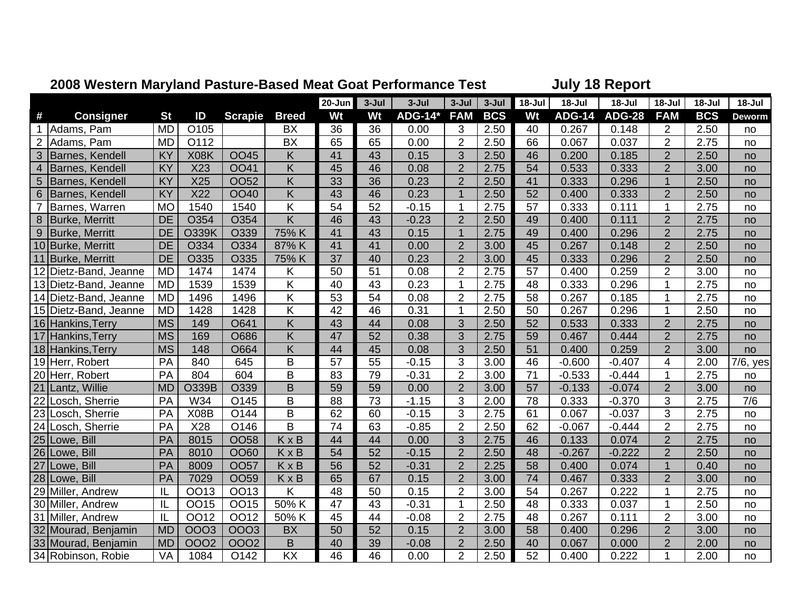|                 |                       |           |              |                |                         | <u>zuud Western Maryland Fasture-Dased Meat Obat Ferrumance Test</u> |                 |                |                |            |                 | <b>UULLY TO INGPORT</b> |               |                |            |             |  |
|-----------------|-----------------------|-----------|--------------|----------------|-------------------------|----------------------------------------------------------------------|-----------------|----------------|----------------|------------|-----------------|-------------------------|---------------|----------------|------------|-------------|--|
|                 |                       |           |              |                |                         | $20 - Jun$                                                           | $3 -$ Jul       | $3 -$ Jul      | $3 -$ Jul      | $3 -$ Jul  | 18-Jul          | 18-Jul                  | 18-Jul        | 18-Jul         | 18-Jul     | $18 -$ Jul  |  |
| #               | <b>Consigner</b>      | <b>St</b> | ID           | <b>Scrapie</b> | <b>Breed</b>            | Wt                                                                   | Wt              | <b>ADG-14*</b> | <b>FAM</b>     | <b>BCS</b> | Wt              | <b>ADG-14</b>           | <b>ADG-28</b> | <b>FAM</b>     | <b>BCS</b> | Deworm      |  |
| $\mathbf{1}$    | Adams, Pam            | <b>MD</b> | O105         |                | <b>BX</b>               | 36                                                                   | 36              | 0.00           | 3              | 2.50       | 40              | 0.267                   | 0.148         | $\overline{2}$ | 2.50       | no          |  |
| $\overline{2}$  | Adams, Pam            | <b>MD</b> | O112         |                | <b>BX</b>               | 65                                                                   | 65              | 0.00           | $\overline{2}$ | 2.50       | 66              | 0.067                   | 0.037         | $\overline{2}$ | 2.75       | no          |  |
| 3               | Barnes, Kendell       | KY        | X08K         | <b>OO45</b>    | Κ                       | 41                                                                   | 43              | 0.15           | 3              | 2.50       | 46              | 0.200                   | 0.185         | $\overline{2}$ | 2.50       | no          |  |
| $\overline{4}$  | Barnes, Kendell       | KY        | X23          | <b>OO41</b>    | Κ                       | 45                                                                   | 46              | 0.08           | $\overline{2}$ | 2.75       | 54              | 0.533                   | 0.333         | $\overline{2}$ | 3.00       | no          |  |
| $5\phantom{.}$  | Barnes, Kendell       | KY        | X25          | <b>OO52</b>    | K                       | 33                                                                   | 36              | 0.23           | $\overline{2}$ | 2.50       | 41              | 0.333                   | 0.296         | $\overline{1}$ | 2.50       | no          |  |
| $6\phantom{1}6$ | Barnes, Kendell       | KY        | X22          | <b>OO40</b>    | Κ                       | 43                                                                   | 46              | 0.23           | $\overline{1}$ | 2.50       | 52              | 0.400                   | 0.333         | $\mathbf{2}$   | 2.50       | no          |  |
| $\overline{7}$  | Barnes, Warren        | <b>MO</b> | 1540         | 1540           | K                       | 54                                                                   | 52              | $-0.15$        | 1              | 2.75       | 57              | 0.333                   | 0.111         | $\mathbf{1}$   | 2.75       | no          |  |
| 8               | Burke, Merritt        | <b>DE</b> | O354         | O354           | $\overline{\mathsf{K}}$ | 46                                                                   | 43              | $-0.23$        | $\overline{2}$ | 2.50       | 49              | 0.400                   | 0.111         | $\overline{2}$ | 2.75       | no          |  |
| 9               | Burke, Merritt        | <b>DE</b> | <b>O339K</b> | O339           | 75% K                   | 41                                                                   | 43              | 0.15           | $\mathbf{1}$   | 2.75       | 49              | 0.400                   | 0.296         | $\overline{2}$ | 2.75       | no          |  |
|                 | 10 Burke, Merritt     | <b>DE</b> | O334         | O334           | 87% K                   | 41                                                                   | 41              | 0.00           | $\overline{2}$ | 3.00       | 45              | 0.267                   | 0.148         | $\overline{2}$ | 2.50       | no          |  |
|                 | 11 Burke, Merritt     | <b>DE</b> | O335         | O335           | 75% K                   | 37                                                                   | 40              | 0.23           | $\overline{2}$ | 3.00       | 45              | 0.333                   | 0.296         | $\overline{2}$ | 2.50       | no          |  |
| 12              | Dietz-Band, Jeanne    | <b>MD</b> | 1474         | 1474           | K                       | 50                                                                   | 51              | 0.08           | $\overline{2}$ | 2.75       | 57              | 0.400                   | 0.259         | $\overline{2}$ | 3.00       | no          |  |
|                 | 13 Dietz-Band, Jeanne | <b>MD</b> | 1539         | 1539           | Κ                       | 40                                                                   | 43              | 0.23           | 1              | 2.75       | 48              | 0.333                   | 0.296         | $\mathbf 1$    | 2.75       | no          |  |
|                 | 14 Dietz-Band, Jeanne | <b>MD</b> | 1496         | 1496           | $\overline{K}$          | $\overline{53}$                                                      | $\overline{54}$ | 0.08           | $\overline{2}$ | 2.75       | $\overline{58}$ | 0.267                   | 0.185         | 1              | 2.75       | no          |  |
|                 | 15 Dietz-Band, Jeanne | <b>MD</b> | 1428         | 1428           | Κ                       | 42                                                                   | 46              | 0.31           | $\mathbf{1}$   | 2.50       | 50              | 0.267                   | 0.296         | $\mathbf 1$    | 2.50       | no          |  |
|                 | 16 Hankins, Terry     | <b>MS</b> | 149          | O641           | K                       | 43                                                                   | 44              | 0.08           | 3              | 2.50       | 52              | 0.533                   | 0.333         | $\overline{2}$ | 2.75       | no          |  |
|                 | 17 Hankins, Terry     | <b>MS</b> | 169          | O686           | K                       | 47                                                                   | 52              | 0.38           | 3              | 2.75       | 59              | 0.467                   | 0.444         | $\overline{2}$ | 2.75       | no          |  |
|                 | 18 Hankins, Terry     | <b>MS</b> | 148          | O664           | K                       | 44                                                                   | 45              | 0.08           | 3              | 2.50       | 51              | 0.400                   | 0.259         | $\overline{2}$ | 3.00       | no          |  |
|                 | 19 Herr, Robert       | PA        | 840          | 645            | B                       | 57                                                                   | 55              | $-0.15$        | 3              | 3.00       | 46              | $-0.600$                | $-0.407$      | 4              | 2.00       | $7/6$ , yes |  |
|                 | 20 Herr, Robert       | PA        | 804          | 604            | B                       | 83                                                                   | 79              | $-0.31$        | $\overline{2}$ | 3.00       | 71              | $-0.533$                | $-0.444$      | $\mathbf 1$    | 2.75       | no          |  |
|                 | 21 Lantz, Willie      | <b>MD</b> | O339B        | O339           | B                       | 59                                                                   | 59              | 0.00           | $\overline{2}$ | 3.00       | $\overline{57}$ | $-0.133$                | $-0.074$      | $\overline{2}$ | 3.00       | no          |  |
| 22              | Losch, Sherrie        | PA        | W34          | O145           | B                       | 88                                                                   | 73              | $-1.15$        | 3              | 2.00       | 78              | 0.333                   | $-0.370$      | 3              | 2.75       | 7/6         |  |
| 23              | Losch, Sherrie        | PA        | X08B         | O144           | B                       | 62                                                                   | 60              | $-0.15$        | 3              | 2.75       | 61              | 0.067                   | $-0.037$      | 3              | 2.75       | no          |  |
|                 | 24 Losch, Sherrie     | PA        | X28          | O146           | B                       | $\overline{74}$                                                      | 63              | $-0.85$        | $\overline{2}$ | 2.50       | 62              | $-0.067$                | $-0.444$      | $\overline{2}$ | 2.75       | no          |  |
|                 | 25 Lowe, Bill         | PA        | 8015         | <b>OO58</b>    | KxB                     | 44                                                                   | 44              | 0.00           | 3              | 2.75       | 46              | 0.133                   | 0.074         | $\overline{2}$ | 2.75       | no          |  |
|                 | 26 Lowe, Bill         | PA        | 8010         | OO60           | $\overline{K}$ x B      | 54                                                                   | 52              | $-0.15$        | $\overline{2}$ | 2.50       | 48              | $-0.267$                | $-0.222$      | $\overline{2}$ | 2.50       | no          |  |
|                 | 27 Lowe, Bill         | PA        | 8009         | <b>OO57</b>    | KxB                     | 56                                                                   | 52              | $-0.31$        | $\overline{2}$ | 2.25       | 58              | 0.400                   | 0.074         | $\overline{1}$ | 0.40       | no          |  |
|                 | 28 Lowe, Bill         | PA        | 7029         | <b>OO59</b>    | KxB                     | 65                                                                   | 67              | 0.15           | $\overline{2}$ | 3.00       | 74              | 0.467                   | 0.333         | $\overline{2}$ | 3.00       | no          |  |
|                 | 29 Miller, Andrew     | IL        | OO13         | OO13           | Κ                       | 48                                                                   | 50              | 0.15           | $\overline{2}$ | 3.00       | 54              | 0.267                   | 0.222         | 1              | 2.75       | no          |  |
|                 | 30 Miller, Andrew     | IL        | OO15         | OO15           | 50% K                   | 47                                                                   | 43              | $-0.31$        | 1              | 2.50       | 48              | 0.333                   | 0.037         | $\mathbf{1}$   | 2.50       | no          |  |
|                 | 31 Miller, Andrew     | IL        | OO12         | OO12           | 50% K                   | 45                                                                   | 44              | $-0.08$        | $\overline{2}$ | 2.75       | 48              | 0.267                   | 0.111         | $\overline{2}$ | 3.00       | no          |  |
|                 | 32 Mourad, Benjamin   | <b>MD</b> | 0003         | 0003           | <b>BX</b>               | 50                                                                   | 52              | 0.15           | $\overline{2}$ | 3.00       | 58              | 0.400                   | 0.296         | $\overline{2}$ | 3.00       | no          |  |
|                 | 33 Mourad, Benjamin   | <b>MD</b> | 0002         | 0002           | B                       | 40                                                                   | 39              | $-0.08$        | $\overline{2}$ | 2.50       | 40              | 0.067                   | 0.000         | $\overline{2}$ | 2.00       | no          |  |
|                 | 34 Robinson, Robie    | VA        | 1084         | O142           | $\overline{KX}$         | 46                                                                   | 46              | 0.00           | $\overline{2}$ | 2.50       | 52              | 0.400                   | 0.222         |                | 2.00       | no          |  |

## **2008 Western Maryland Pasture-Based Meat Goat Performance Test July 18 Report**